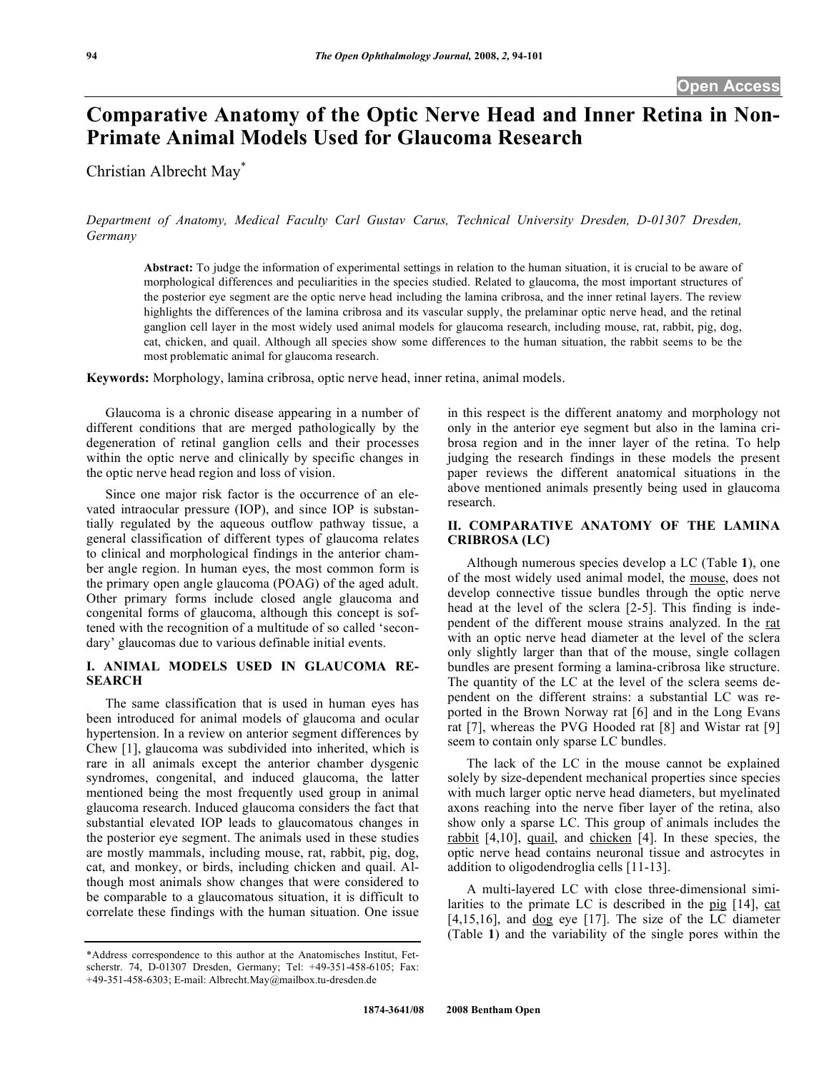# **Comparative Anatomy of the Optic Nerve Head and Inner Retina in Non-Primate Animal Models Used for Glaucoma Research**

Christian Albrecht May\*

*Department of Anatomy, Medical Faculty Carl Gustav Carus, Technical University Dresden, D-01307 Dresden, Germany* 

**Abstract:** To judge the information of experimental settings in relation to the human situation, it is crucial to be aware of morphological differences and peculiarities in the species studied. Related to glaucoma, the most important structures of the posterior eye segment are the optic nerve head including the lamina cribrosa, and the inner retinal layers. The review highlights the differences of the lamina cribrosa and its vascular supply, the prelaminar optic nerve head, and the retinal ganglion cell layer in the most widely used animal models for glaucoma research, including mouse, rat, rabbit, pig, dog, cat, chicken, and quail. Although all species show some differences to the human situation, the rabbit seems to be the most problematic animal for glaucoma research.

**Keywords:** Morphology, lamina cribrosa, optic nerve head, inner retina, animal models.

 Glaucoma is a chronic disease appearing in a number of different conditions that are merged pathologically by the degeneration of retinal ganglion cells and their processes within the optic nerve and clinically by specific changes in the optic nerve head region and loss of vision.

 Since one major risk factor is the occurrence of an elevated intraocular pressure (IOP), and since IOP is substantially regulated by the aqueous outflow pathway tissue, a general classification of different types of glaucoma relates to clinical and morphological findings in the anterior chamber angle region. In human eyes, the most common form is the primary open angle glaucoma (POAG) of the aged adult. Other primary forms include closed angle glaucoma and congenital forms of glaucoma, although this concept is softened with the recognition of a multitude of so called 'secondary' glaucomas due to various definable initial events.

## **I. ANIMAL MODELS USED IN GLAUCOMA RE-SEARCH**

 The same classification that is used in human eyes has been introduced for animal models of glaucoma and ocular hypertension. In a review on anterior segment differences by Chew [1], glaucoma was subdivided into inherited, which is rare in all animals except the anterior chamber dysgenic syndromes, congenital, and induced glaucoma, the latter mentioned being the most frequently used group in animal glaucoma research. Induced glaucoma considers the fact that substantial elevated IOP leads to glaucomatous changes in the posterior eye segment. The animals used in these studies are mostly mammals, including mouse, rat, rabbit, pig, dog, cat, and monkey, or birds, including chicken and quail. Although most animals show changes that were considered to be comparable to a glaucomatous situation, it is difficult to correlate these findings with the human situation. One issue

\*Address correspondence to this author at the Anatomisches Institut, Fetscherstr. 74, D-01307 Dresden, Germany; Tel: +49-351-458-6105; Fax: +49-351-458-6303; E-mail: Albrecht.May@mailbox.tu-dresden.de

in this respect is the different anatomy and morphology not only in the anterior eye segment but also in the lamina cribrosa region and in the inner layer of the retina. To help judging the research findings in these models the present paper reviews the different anatomical situations in the above mentioned animals presently being used in glaucoma research.

### **II. COMPARATIVE ANATOMY OF THE LAMINA CRIBROSA (LC)**

 Although numerous species develop a LC (Table **1**), one of the most widely used animal model, the mouse, does not develop connective tissue bundles through the optic nerve head at the level of the sclera [2-5]. This finding is independent of the different mouse strains analyzed. In the rat with an optic nerve head diameter at the level of the sclera only slightly larger than that of the mouse, single collagen bundles are present forming a lamina-cribrosa like structure. The quantity of the LC at the level of the sclera seems dependent on the different strains: a substantial LC was reported in the Brown Norway rat [6] and in the Long Evans rat [7], whereas the PVG Hooded rat [8] and Wistar rat [9] seem to contain only sparse LC bundles.

 The lack of the LC in the mouse cannot be explained solely by size-dependent mechanical properties since species with much larger optic nerve head diameters, but myelinated axons reaching into the nerve fiber layer of the retina, also show only a sparse LC. This group of animals includes the rabbit [4,10], quail, and chicken [4]. In these species, the optic nerve head contains neuronal tissue and astrocytes in addition to oligodendroglia cells [11-13].

 A multi-layered LC with close three-dimensional similarities to the primate LC is described in the pig [14], cat  $[4,15,16]$ , and  $\frac{d}{d}$  eye  $[17]$ . The size of the LC diameter (Table **1**) and the variability of the single pores within the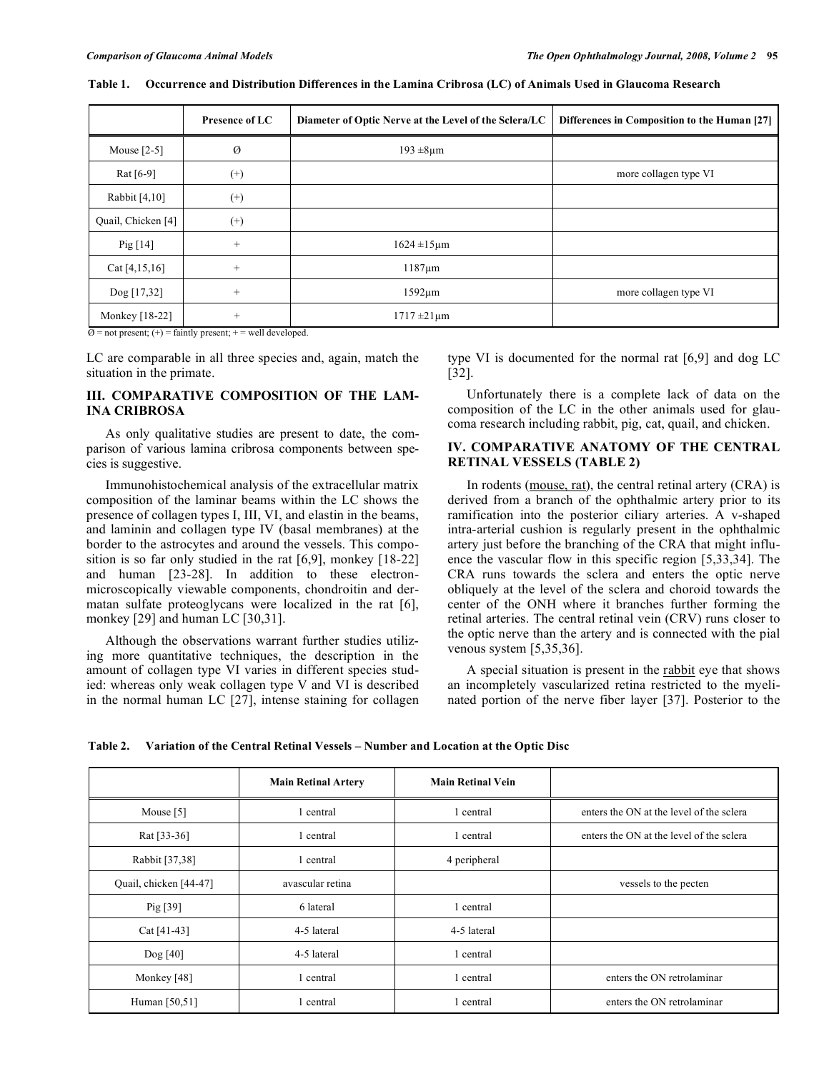|                    | Presence of LC | Diameter of Optic Nerve at the Level of the Sclera/LC | Differences in Composition to the Human [27] |
|--------------------|----------------|-------------------------------------------------------|----------------------------------------------|
| Mouse $[2-5]$      | Ø              | $193 \pm 8 \mu m$                                     |                                              |
| Rat $[6-9]$        | $^{(+)}$       |                                                       | more collagen type VI                        |
| Rabbit [4,10]      | $^{(+)}$       |                                                       |                                              |
| Quail, Chicken [4] | $^{(+)}$       |                                                       |                                              |
| Pig $[14]$         | $^{+}$         | $1624 \pm 15 \mu m$                                   |                                              |
| Cat [4, 15, 16]    | $^{+}$         | $1187 \mu m$                                          |                                              |
| Dog [17,32]        | $^{+}$         | $1592 \mu m$                                          | more collagen type VI                        |
| Monkey [18-22]     | $^{+}$         | $1717 \pm 21 \,\text{µm}$                             |                                              |

**Table 1. Occurrence and Distribution Differences in the Lamina Cribrosa (LC) of Animals Used in Glaucoma Research** 

 $\emptyset$  = not present; (+) = faintly present; + = well developed.

LC are comparable in all three species and, again, match the situation in the primate.

### **III. COMPARATIVE COMPOSITION OF THE LAM-INA CRIBROSA**

 As only qualitative studies are present to date, the comparison of various lamina cribrosa components between species is suggestive.

 Immunohistochemical analysis of the extracellular matrix composition of the laminar beams within the LC shows the presence of collagen types I, III, VI, and elastin in the beams, and laminin and collagen type IV (basal membranes) at the border to the astrocytes and around the vessels. This composition is so far only studied in the rat [6,9], monkey [18-22] and human [23-28]. In addition to these electronmicroscopically viewable components, chondroitin and dermatan sulfate proteoglycans were localized in the rat [6], monkey [29] and human LC [30,31].

 Although the observations warrant further studies utilizing more quantitative techniques, the description in the amount of collagen type VI varies in different species studied: whereas only weak collagen type V and VI is described in the normal human LC [27], intense staining for collagen type VI is documented for the normal rat [6,9] and dog LC [32].

 Unfortunately there is a complete lack of data on the composition of the LC in the other animals used for glaucoma research including rabbit, pig, cat, quail, and chicken.

# **IV. COMPARATIVE ANATOMY OF THE CENTRAL RETINAL VESSELS (TABLE 2)**

In rodents (mouse, rat), the central retinal artery (CRA) is derived from a branch of the ophthalmic artery prior to its ramification into the posterior ciliary arteries. A v-shaped intra-arterial cushion is regularly present in the ophthalmic artery just before the branching of the CRA that might influence the vascular flow in this specific region [5,33,34]. The CRA runs towards the sclera and enters the optic nerve obliquely at the level of the sclera and choroid towards the center of the ONH where it branches further forming the retinal arteries. The central retinal vein (CRV) runs closer to the optic nerve than the artery and is connected with the pial venous system [5,35,36].

 A special situation is present in the rabbit eye that shows an incompletely vascularized retina restricted to the myelinated portion of the nerve fiber layer [37]. Posterior to the

**Table 2. Variation of the Central Retinal Vessels – Number and Location at the Optic Disc** 

|                        | <b>Main Retinal Artery</b> | <b>Main Retinal Vein</b> |                                          |
|------------------------|----------------------------|--------------------------|------------------------------------------|
| Mouse $[5]$            | 1 central                  | 1 central                | enters the ON at the level of the sclera |
| Rat [33-36]            | 1 central                  | 1 central                | enters the ON at the level of the sclera |
| Rabbit [37,38]         | 1 central                  | 4 peripheral             |                                          |
| Quail, chicken [44-47] | avascular retina           |                          | vessels to the pecten                    |
| Pig [39]               | 6 lateral                  | 1 central                |                                          |
| Cat $[41-43]$          | 4-5 lateral                | 4-5 lateral              |                                          |
| Dog $[40]$             | 4-5 lateral                | 1 central                |                                          |
| Monkey [48]            | 1 central                  | 1 central                | enters the ON retrolaminar               |
| Human [50,51]          | central                    | 1 central                | enters the ON retrolaminar               |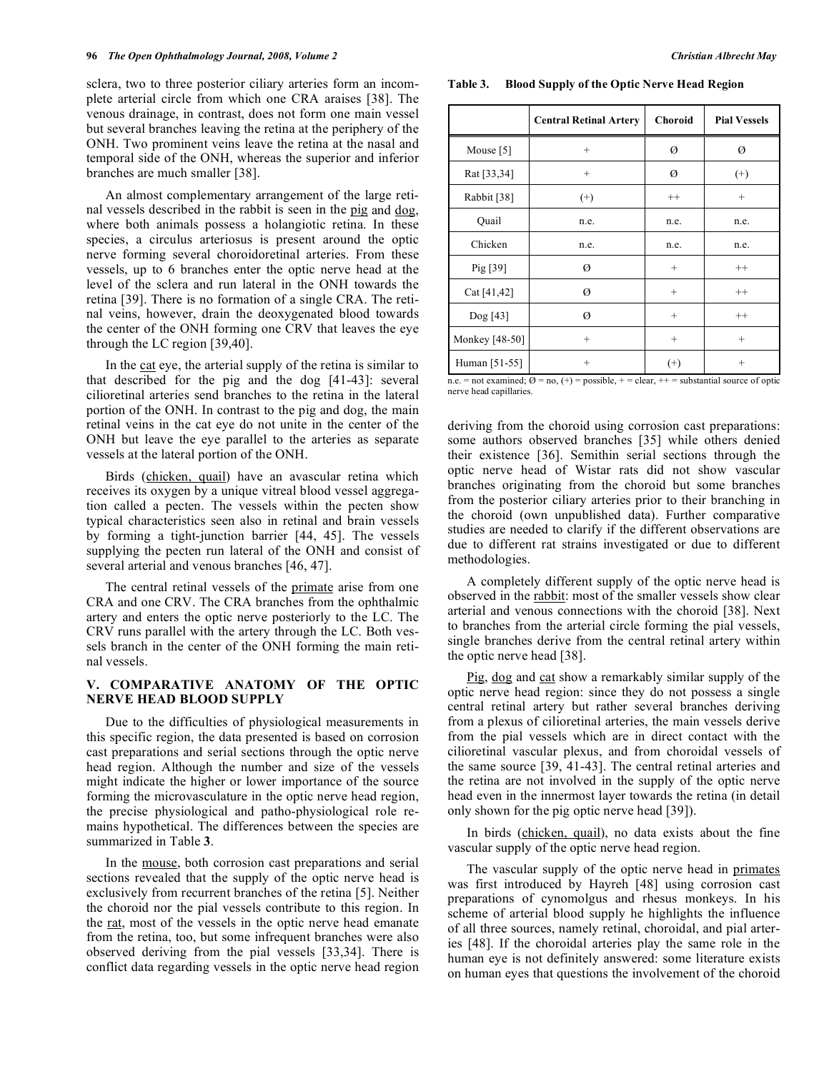sclera, two to three posterior ciliary arteries form an incomplete arterial circle from which one CRA araises [38]. The venous drainage, in contrast, does not form one main vessel but several branches leaving the retina at the periphery of the ONH. Two prominent veins leave the retina at the nasal and temporal side of the ONH, whereas the superior and inferior branches are much smaller [38].

 An almost complementary arrangement of the large retinal vessels described in the rabbit is seen in the pig and dog, where both animals possess a holangiotic retina. In these species, a circulus arteriosus is present around the optic nerve forming several choroidoretinal arteries. From these vessels, up to 6 branches enter the optic nerve head at the level of the sclera and run lateral in the ONH towards the retina [39]. There is no formation of a single CRA. The retinal veins, however, drain the deoxygenated blood towards the center of the ONH forming one CRV that leaves the eye through the LC region [39,40].

 In the cat eye, the arterial supply of the retina is similar to that described for the pig and the dog [41-43]: several cilioretinal arteries send branches to the retina in the lateral portion of the ONH. In contrast to the pig and dog, the main retinal veins in the cat eye do not unite in the center of the ONH but leave the eye parallel to the arteries as separate vessels at the lateral portion of the ONH.

 Birds (chicken, quail) have an avascular retina which receives its oxygen by a unique vitreal blood vessel aggregation called a pecten. The vessels within the pecten show typical characteristics seen also in retinal and brain vessels by forming a tight-junction barrier [44, 45]. The vessels supplying the pecten run lateral of the ONH and consist of several arterial and venous branches [46, 47].

 The central retinal vessels of the primate arise from one CRA and one CRV. The CRA branches from the ophthalmic artery and enters the optic nerve posteriorly to the LC. The CRV runs parallel with the artery through the LC. Both vessels branch in the center of the ONH forming the main retinal vessels.

# **V. COMPARATIVE ANATOMY OF THE OPTIC NERVE HEAD BLOOD SUPPLY**

 Due to the difficulties of physiological measurements in this specific region, the data presented is based on corrosion cast preparations and serial sections through the optic nerve head region. Although the number and size of the vessels might indicate the higher or lower importance of the source forming the microvasculature in the optic nerve head region, the precise physiological and patho-physiological role remains hypothetical. The differences between the species are summarized in Table **3**.

 In the mouse, both corrosion cast preparations and serial sections revealed that the supply of the optic nerve head is exclusively from recurrent branches of the retina [5]. Neither the choroid nor the pial vessels contribute to this region. In the rat, most of the vessels in the optic nerve head emanate from the retina, too, but some infrequent branches were also observed deriving from the pial vessels [33,34]. There is conflict data regarding vessels in the optic nerve head region

**Table 3. Blood Supply of the Optic Nerve Head Region** 

|                | <b>Central Retinal Artery</b> | <b>Choroid</b>  | <b>Pial Vessels</b> |
|----------------|-------------------------------|-----------------|---------------------|
| Mouse $[5]$    | $^{+}$                        | Ø               | Ø                   |
| Rat [33,34]    | $^{+}$                        | Ø               | $^{(+)}$            |
| Rabbit [38]    | $^{(+)}$                      | $^{++}$         | $^{+}$              |
| Quail          | n.e.                          | n.e.            | n.e.                |
| Chicken        | n.e.                          | n.e.            | n.e.                |
| Pig $[39]$     | Ø                             | $^{+}$          | $++$                |
| Cat [41,42]    | Ø                             | $\! + \!\!\!\!$ | $++$                |
| Dog [43]       | Ø                             | $\! + \!\!\!\!$ | $^{++}$             |
| Monkey [48-50] | $^{+}$                        | $\! + \!\!\!\!$ | $^{+}$              |
| Human [51-55]  | $^{+}$                        | $^{(+)}$        | $^{+}$              |

n.e. = not examined;  $\emptyset$  = no, (+) = possible, + = clear, + + = substantial source of optic nerve head capillaries.

deriving from the choroid using corrosion cast preparations: some authors observed branches [35] while others denied their existence [36]. Semithin serial sections through the optic nerve head of Wistar rats did not show vascular branches originating from the choroid but some branches from the posterior ciliary arteries prior to their branching in the choroid (own unpublished data). Further comparative studies are needed to clarify if the different observations are due to different rat strains investigated or due to different methodologies.

 A completely different supply of the optic nerve head is observed in the rabbit: most of the smaller vessels show clear arterial and venous connections with the choroid [38]. Next to branches from the arterial circle forming the pial vessels, single branches derive from the central retinal artery within the optic nerve head [38].

Pig, dog and cat show a remarkably similar supply of the optic nerve head region: since they do not possess a single central retinal artery but rather several branches deriving from a plexus of cilioretinal arteries, the main vessels derive from the pial vessels which are in direct contact with the cilioretinal vascular plexus, and from choroidal vessels of the same source [39, 41-43]. The central retinal arteries and the retina are not involved in the supply of the optic nerve head even in the innermost layer towards the retina (in detail only shown for the pig optic nerve head [39]).

 In birds (chicken, quail), no data exists about the fine vascular supply of the optic nerve head region.

 The vascular supply of the optic nerve head in primates was first introduced by Hayreh [48] using corrosion cast preparations of cynomolgus and rhesus monkeys. In his scheme of arterial blood supply he highlights the influence of all three sources, namely retinal, choroidal, and pial arteries [48]. If the choroidal arteries play the same role in the human eye is not definitely answered: some literature exists on human eyes that questions the involvement of the choroid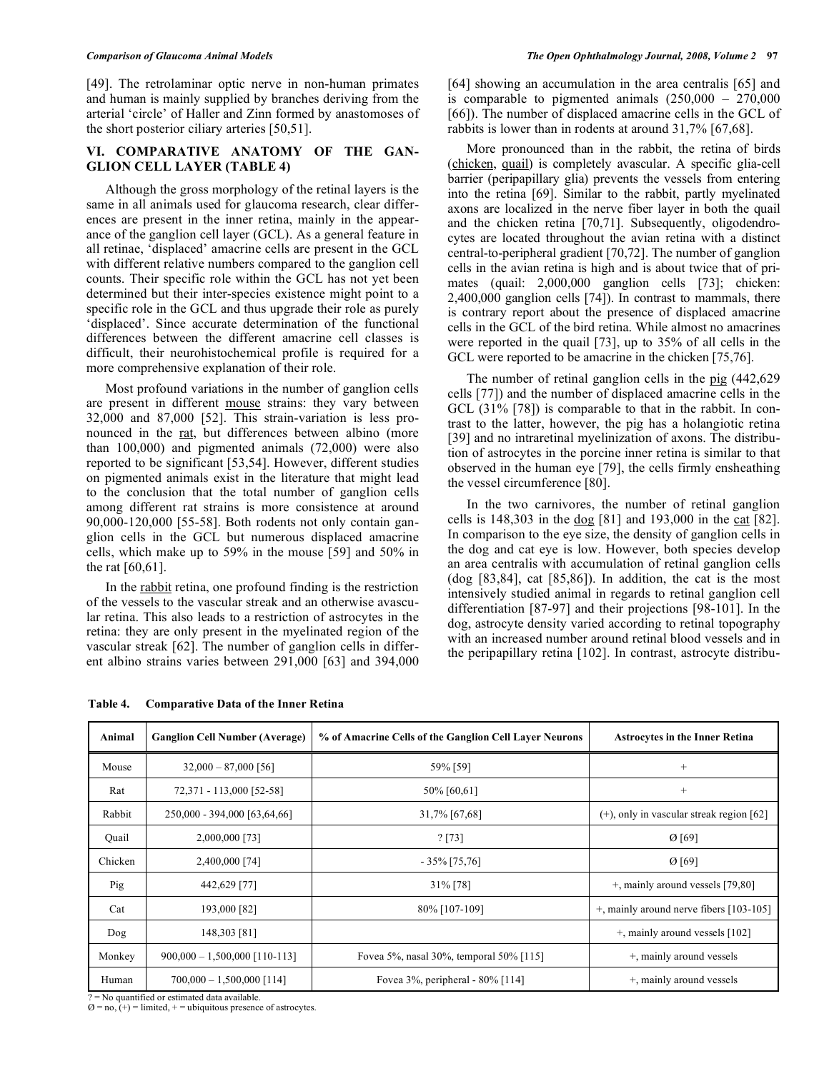#### *Comparison of Glaucoma Animal Models The Open Ophthalmology Journal, 2008, Volume 2* **97**

[49]. The retrolaminar optic nerve in non-human primates and human is mainly supplied by branches deriving from the arterial 'circle' of Haller and Zinn formed by anastomoses of the short posterior ciliary arteries [50,51].

# **VI. COMPARATIVE ANATOMY OF THE GAN-GLION CELL LAYER (TABLE 4)**

 Although the gross morphology of the retinal layers is the same in all animals used for glaucoma research, clear differences are present in the inner retina, mainly in the appearance of the ganglion cell layer (GCL). As a general feature in all retinae, 'displaced' amacrine cells are present in the GCL with different relative numbers compared to the ganglion cell counts. Their specific role within the GCL has not yet been determined but their inter-species existence might point to a specific role in the GCL and thus upgrade their role as purely 'displaced'. Since accurate determination of the functional differences between the different amacrine cell classes is difficult, their neurohistochemical profile is required for a more comprehensive explanation of their role.

 Most profound variations in the number of ganglion cells are present in different mouse strains: they vary between 32,000 and 87,000 [52]. This strain-variation is less pronounced in the rat, but differences between albino (more than 100,000) and pigmented animals (72,000) were also reported to be significant [53,54]. However, different studies on pigmented animals exist in the literature that might lead to the conclusion that the total number of ganglion cells among different rat strains is more consistence at around 90,000-120,000 [55-58]. Both rodents not only contain ganglion cells in the GCL but numerous displaced amacrine cells, which make up to 59% in the mouse [59] and 50% in the rat [60,61].

 In the rabbit retina, one profound finding is the restriction of the vessels to the vascular streak and an otherwise avascular retina. This also leads to a restriction of astrocytes in the retina: they are only present in the myelinated region of the vascular streak [62]. The number of ganglion cells in different albino strains varies between 291,000 [63] and 394,000 [66]). The number of displaced amacrine cells in the GCL of rabbits is lower than in rodents at around 31,7% [67,68]. More pronounced than in the rabbit, the retina of birds (chicken, quail) is completely avascular. A specific glia-cell barrier (peripapillary glia) prevents the vessels from entering into the retina [69]. Similar to the rabbit, partly myelinated axons are localized in the nerve fiber layer in both the quail and the chicken retina [70,71]. Subsequently, oligodendrocytes are located throughout the avian retina with a distinct central-to-peripheral gradient [70,72]. The number of ganglion cells in the avian retina is high and is about twice that of primates (quail: 2,000,000 ganglion cells [73]; chicken: 2,400,000 ganglion cells [74]). In contrast to mammals, there is contrary report about the presence of displaced amacrine

The number of retinal ganglion cells in the pig (442,629) cells [77]) and the number of displaced amacrine cells in the GCL (31% [78]) is comparable to that in the rabbit. In contrast to the latter, however, the pig has a holangiotic retina [39] and no intraretinal myelinization of axons. The distribution of astrocytes in the porcine inner retina is similar to that observed in the human eye [79], the cells firmly ensheathing the vessel circumference [80].

cells in the GCL of the bird retina. While almost no amacrines were reported in the quail [73], up to 35% of all cells in the GCL were reported to be amacrine in the chicken [75,76].

 In the two carnivores, the number of retinal ganglion cells is 148,303 in the dog [81] and 193,000 in the cat [82]. In comparison to the eye size, the density of ganglion cells in the dog and cat eye is low. However, both species develop an area centralis with accumulation of retinal ganglion cells (dog [83,84], cat [85,86]). In addition, the cat is the most intensively studied animal in regards to retinal ganglion cell differentiation [87-97] and their projections [98-101]. In the dog, astrocyte density varied according to retinal topography with an increased number around retinal blood vessels and in the peripapillary retina [102]. In contrast, astrocyte distribu-

| Animal  | <b>Ganglion Cell Number (Average)</b> | % of Amacrine Cells of the Ganglion Cell Layer Neurons | <b>Astrocytes in the Inner Retina</b>       |
|---------|---------------------------------------|--------------------------------------------------------|---------------------------------------------|
| Mouse   | $32,000 - 87,000$ [56]                | 59% [59]                                               | $^{+}$                                      |
| Rat     | 72,371 - 113,000 [52-58]              | 50% [60,61]                                            | $^{+}$                                      |
| Rabbit  | 250,000 - 394,000 [63,64,66]          | 31,7% [67,68]                                          | $(+)$ , only in vascular streak region [62] |
| Quail   | 2,000,000 [73]                        | ? [73]                                                 | $\emptyset$ [69]                            |
| Chicken | 2,400,000 [74]                        | $-35\%$ [75,76]                                        | $\emptyset$ [69]                            |
| Pig     | 442,629 [77]                          | 31% [78]                                               | +, mainly around vessels [79,80]            |
| Cat     | 193,000 [82]                          | 80% [107-109]                                          | $+$ , mainly around nerve fibers [103-105]  |
| Dog     | 148,303 [81]                          |                                                        | $+$ , mainly around vessels [102]           |
| Monkey  | $900,000 - 1,500,000$ [110-113]       | Fovea 5%, nasal 30%, temporal 50% [115]                | +, mainly around vessels                    |
| Human   | $700,000 - 1,500,000$ [114]           | Fovea 3%, peripheral - 80% [114]                       | +, mainly around vessels                    |

#### **Table 4. Comparative Data of the Inner Retina**

? = No quantified or estimated data available.

 $\varnothing$  = no, (+) = limited, + = ubiquitous presence of astrocytes.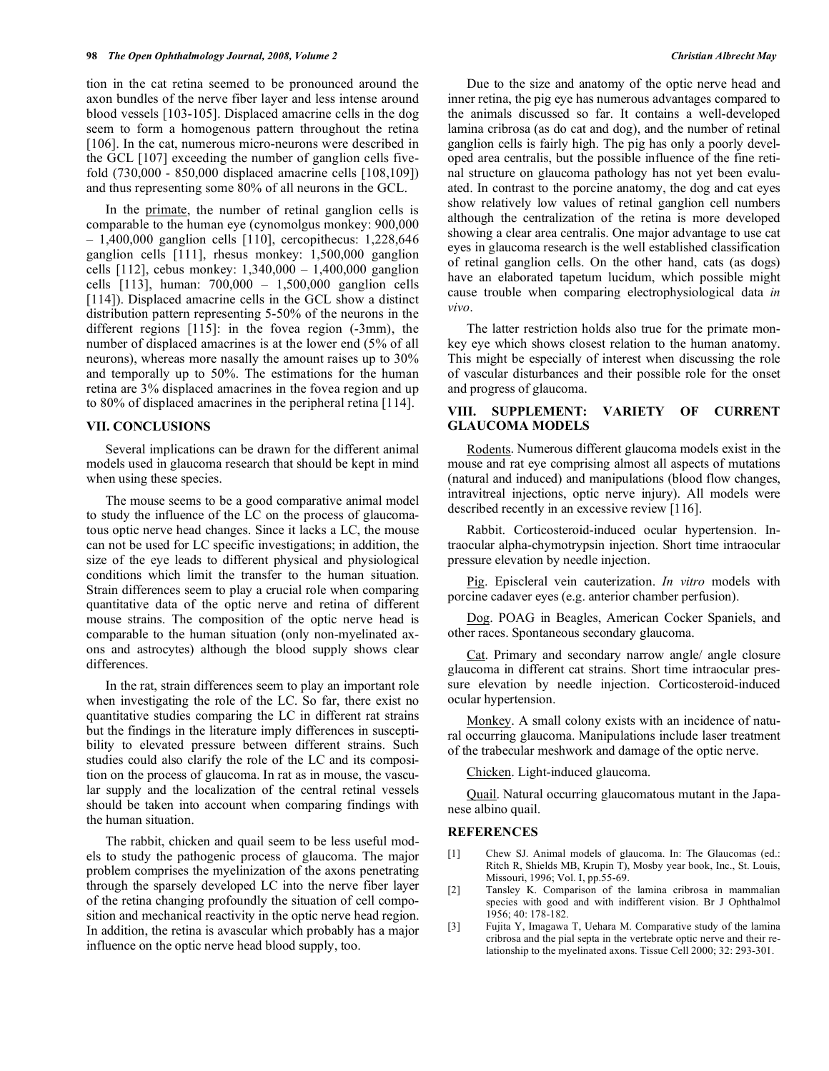tion in the cat retina seemed to be pronounced around the axon bundles of the nerve fiber layer and less intense around blood vessels [103-105]. Displaced amacrine cells in the dog seem to form a homogenous pattern throughout the retina [106]. In the cat, numerous micro-neurons were described in the GCL [107] exceeding the number of ganglion cells fivefold (730,000 - 850,000 displaced amacrine cells [108,109]) and thus representing some 80% of all neurons in the GCL.

 In the primate, the number of retinal ganglion cells is comparable to the human eye (cynomolgus monkey: 900,000 – 1,400,000 ganglion cells [110], cercopithecus: 1,228,646 ganglion cells [111], rhesus monkey: 1,500,000 ganglion cells [112], cebus monkey:  $1,340,000 - 1,400,000$  ganglion cells [113], human: 700,000 – 1,500,000 ganglion cells [114]). Displaced amacrine cells in the GCL show a distinct distribution pattern representing 5-50% of the neurons in the different regions [115]: in the fovea region (-3mm), the number of displaced amacrines is at the lower end (5% of all neurons), whereas more nasally the amount raises up to 30% and temporally up to 50%. The estimations for the human retina are 3% displaced amacrines in the fovea region and up to 80% of displaced amacrines in the peripheral retina [114].

#### **VII. CONCLUSIONS**

 Several implications can be drawn for the different animal models used in glaucoma research that should be kept in mind when using these species.

 The mouse seems to be a good comparative animal model to study the influence of the LC on the process of glaucomatous optic nerve head changes. Since it lacks a LC, the mouse can not be used for LC specific investigations; in addition, the size of the eye leads to different physical and physiological conditions which limit the transfer to the human situation. Strain differences seem to play a crucial role when comparing quantitative data of the optic nerve and retina of different mouse strains. The composition of the optic nerve head is comparable to the human situation (only non-myelinated axons and astrocytes) although the blood supply shows clear differences.

 In the rat, strain differences seem to play an important role when investigating the role of the LC. So far, there exist no quantitative studies comparing the LC in different rat strains but the findings in the literature imply differences in susceptibility to elevated pressure between different strains. Such studies could also clarify the role of the LC and its composition on the process of glaucoma. In rat as in mouse, the vascular supply and the localization of the central retinal vessels should be taken into account when comparing findings with the human situation.

 The rabbit, chicken and quail seem to be less useful models to study the pathogenic process of glaucoma. The major problem comprises the myelinization of the axons penetrating through the sparsely developed LC into the nerve fiber layer of the retina changing profoundly the situation of cell composition and mechanical reactivity in the optic nerve head region. In addition, the retina is avascular which probably has a major influence on the optic nerve head blood supply, too.

 Due to the size and anatomy of the optic nerve head and inner retina, the pig eye has numerous advantages compared to the animals discussed so far. It contains a well-developed lamina cribrosa (as do cat and dog), and the number of retinal ganglion cells is fairly high. The pig has only a poorly developed area centralis, but the possible influence of the fine retinal structure on glaucoma pathology has not yet been evaluated. In contrast to the porcine anatomy, the dog and cat eyes show relatively low values of retinal ganglion cell numbers although the centralization of the retina is more developed showing a clear area centralis. One major advantage to use cat eyes in glaucoma research is the well established classification of retinal ganglion cells. On the other hand, cats (as dogs) have an elaborated tapetum lucidum, which possible might cause trouble when comparing electrophysiological data *in vivo*.

 The latter restriction holds also true for the primate monkey eye which shows closest relation to the human anatomy. This might be especially of interest when discussing the role of vascular disturbances and their possible role for the onset and progress of glaucoma.

# **VIII. SUPPLEMENT: VARIETY OF CURRENT GLAUCOMA MODELS**

 Rodents. Numerous different glaucoma models exist in the mouse and rat eye comprising almost all aspects of mutations (natural and induced) and manipulations (blood flow changes, intravitreal injections, optic nerve injury). All models were described recently in an excessive review [116].

 Rabbit. Corticosteroid-induced ocular hypertension. Intraocular alpha-chymotrypsin injection. Short time intraocular pressure elevation by needle injection.

 Pig. Episcleral vein cauterization. *In vitro* models with porcine cadaver eyes (e.g. anterior chamber perfusion).

Dog. POAG in Beagles, American Cocker Spaniels, and other races. Spontaneous secondary glaucoma.

 Cat. Primary and secondary narrow angle/ angle closure glaucoma in different cat strains. Short time intraocular pressure elevation by needle injection. Corticosteroid-induced ocular hypertension.

 Monkey. A small colony exists with an incidence of natural occurring glaucoma. Manipulations include laser treatment of the trabecular meshwork and damage of the optic nerve.

Chicken. Light-induced glaucoma.

 Quail. Natural occurring glaucomatous mutant in the Japanese albino quail.

#### **REFERENCES**

- [1] Chew SJ. Animal models of glaucoma. In: The Glaucomas (ed.: Ritch R, Shields MB, Krupin T), Mosby year book, Inc., St. Louis, Missouri, 1996; Vol. I, pp.55-69.
- [2] Tansley K. Comparison of the lamina cribrosa in mammalian species with good and with indifferent vision. Br J Ophthalmol 1956; 40: 178-182.
- [3] Fujita Y, Imagawa T, Uehara M. Comparative study of the lamina cribrosa and the pial septa in the vertebrate optic nerve and their relationship to the myelinated axons. Tissue Cell 2000; 32: 293-301.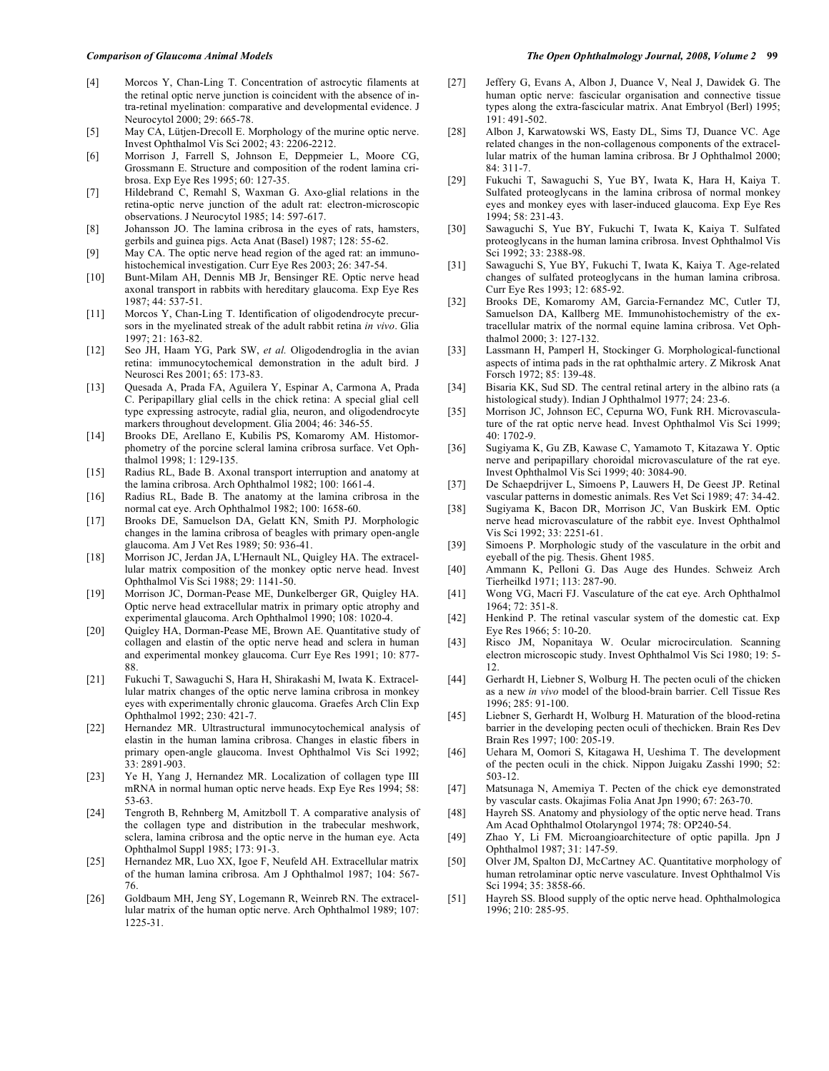- [4] Morcos Y, Chan-Ling T. Concentration of astrocytic filaments at the retinal optic nerve junction is coincident with the absence of intra-retinal myelination: comparative and developmental evidence. J Neurocytol 2000; 29: 665-78.
- [5] May CA, Lütjen-Drecoll E. Morphology of the murine optic nerve. Invest Ophthalmol Vis Sci 2002; 43: 2206-2212.
- [6] Morrison J, Farrell S, Johnson E, Deppmeier L, Moore CG, Grossmann E. Structure and composition of the rodent lamina cribrosa. Exp Eye Res 1995; 60: 127-35.
- [7] Hildebrand C, Remahl S, Waxman G. Axo-glial relations in the retina-optic nerve junction of the adult rat: electron-microscopic observations. J Neurocytol 1985; 14: 597-617.
- [8] Johansson JO. The lamina cribrosa in the eyes of rats, hamsters, gerbils and guinea pigs. Acta Anat (Basel) 1987; 128: 55-62.
- [9] May CA. The optic nerve head region of the aged rat: an immunohistochemical investigation. Curr Eye Res 2003; 26: 347-54.
- [10] Bunt-Milam AH, Dennis MB Jr, Bensinger RE. Optic nerve head axonal transport in rabbits with hereditary glaucoma. Exp Eye Res 1987; 44: 537-51.
- [11] Morcos Y, Chan-Ling T. Identification of oligodendrocyte precursors in the myelinated streak of the adult rabbit retina *in vivo*. Glia 1997; 21: 163-82.
- [12] Seo JH, Haam YG, Park SW, *et al.* Oligodendroglia in the avian retina: immunocytochemical demonstration in the adult bird. J Neurosci Res 2001; 65: 173-83.
- [13] Quesada A, Prada FA, Aguilera Y, Espinar A, Carmona A, Prada C. Peripapillary glial cells in the chick retina: A special glial cell type expressing astrocyte, radial glia, neuron, and oligodendrocyte markers throughout development. Glia 2004; 46: 346-55.
- [14] Brooks DE, Arellano E, Kubilis PS, Komaromy AM. Histomorphometry of the porcine scleral lamina cribrosa surface. Vet Ophthalmol 1998; 1: 129-135.
- [15] Radius RL, Bade B. Axonal transport interruption and anatomy at the lamina cribrosa. Arch Ophthalmol 1982; 100: 1661-4.
- [16] Radius RL, Bade B. The anatomy at the lamina cribrosa in the normal cat eye. Arch Ophthalmol 1982; 100: 1658-60.
- [17] Brooks DE, Samuelson DA, Gelatt KN, Smith PJ. Morphologic changes in the lamina cribrosa of beagles with primary open-angle glaucoma. Am J Vet Res 1989; 50: 936-41.
- [18] Morrison JC, Jerdan JA, L'Hernault NL, Quigley HA. The extracellular matrix composition of the monkey optic nerve head. Invest Ophthalmol Vis Sci 1988; 29: 1141-50.
- [19] Morrison JC, Dorman-Pease ME, Dunkelberger GR, Quigley HA. Optic nerve head extracellular matrix in primary optic atrophy and experimental glaucoma. Arch Ophthalmol 1990; 108: 1020-4.
- [20] Quigley HA, Dorman-Pease ME, Brown AE. Quantitative study of collagen and elastin of the optic nerve head and sclera in human and experimental monkey glaucoma. Curr Eye Res 1991; 10: 877- 88.
- [21] Fukuchi T, Sawaguchi S, Hara H, Shirakashi M, Iwata K. Extracellular matrix changes of the optic nerve lamina cribrosa in monkey eyes with experimentally chronic glaucoma. Graefes Arch Clin Exp Ophthalmol 1992; 230: 421-7.
- [22] Hernandez MR. Ultrastructural immunocytochemical analysis of elastin in the human lamina cribrosa. Changes in elastic fibers in primary open-angle glaucoma. Invest Ophthalmol Vis Sci 1992; 33: 2891-903.
- [23] Ye H, Yang J, Hernandez MR. Localization of collagen type III mRNA in normal human optic nerve heads. Exp Eye Res 1994; 58: 53-63.
- [24] Tengroth B, Rehnberg M, Amitzboll T. A comparative analysis of the collagen type and distribution in the trabecular meshwork, sclera, lamina cribrosa and the optic nerve in the human eye. Acta Ophthalmol Suppl 1985; 173: 91-3.
- [25] Hernandez MR, Luo XX, Igoe F, Neufeld AH. Extracellular matrix of the human lamina cribrosa. Am J Ophthalmol 1987; 104: 567- 76.
- [26] Goldbaum MH, Jeng SY, Logemann R, Weinreb RN. The extracellular matrix of the human optic nerve. Arch Ophthalmol 1989; 107: 1225-31.
- [27] Jeffery G, Evans A, Albon J, Duance V, Neal J, Dawidek G. The human optic nerve: fascicular organisation and connective tissue types along the extra-fascicular matrix. Anat Embryol (Berl) 1995; 191: 491-502.
- [28] Albon J, Karwatowski WS, Easty DL, Sims TJ, Duance VC. Age related changes in the non-collagenous components of the extracellular matrix of the human lamina cribrosa. Br J Ophthalmol 2000;  $84.311 - 7$
- [29] Fukuchi T, Sawaguchi S, Yue BY, Iwata K, Hara H, Kaiya T. Sulfated proteoglycans in the lamina cribrosa of normal monkey eyes and monkey eyes with laser-induced glaucoma. Exp Eye Res 1994; 58: 231-43.
- [30] Sawaguchi S, Yue BY, Fukuchi T, Iwata K, Kaiya T. Sulfated proteoglycans in the human lamina cribrosa. Invest Ophthalmol Vis Sci 1992; 33: 2388-98.
- [31] Sawaguchi S, Yue BY, Fukuchi T, Iwata K, Kaiya T. Age-related changes of sulfated proteoglycans in the human lamina cribrosa. Curr Eye Res 1993; 12: 685-92.
- [32] Brooks DE, Komaromy AM, Garcia-Fernandez MC, Cutler TJ, Samuelson DA, Kallberg ME. Immunohistochemistry of the extracellular matrix of the normal equine lamina cribrosa. Vet Ophthalmol 2000; 3: 127-132.
- [33] Lassmann H, Pamperl H, Stockinger G. Morphological-functional aspects of intima pads in the rat ophthalmic artery. Z Mikrosk Anat Forsch 1972; 85: 139-48.
- [34] Bisaria KK, Sud SD. The central retinal artery in the albino rats (a histological study). Indian J Ophthalmol 1977; 24: 23-6.
- [35] Morrison JC, Johnson EC, Cepurna WO, Funk RH. Microvasculature of the rat optic nerve head. Invest Ophthalmol Vis Sci 1999; 40: 1702-9.
- [36] Sugiyama K, Gu ZB, Kawase C, Yamamoto T, Kitazawa Y. Optic nerve and peripapillary choroidal microvasculature of the rat eye. Invest Ophthalmol Vis Sci 1999; 40: 3084-90.
- [37] De Schaepdrijver L, Simoens P, Lauwers H, De Geest JP. Retinal vascular patterns in domestic animals. Res Vet Sci 1989; 47: 34-42.
- [38] Sugiyama K, Bacon DR, Morrison JC, Van Buskirk EM. Optic nerve head microvasculature of the rabbit eye. Invest Ophthalmol Vis Sci 1992; 33: 2251-61.
- [39] Simoens P. Morphologic study of the vasculature in the orbit and eyeball of the pig. Thesis. Ghent 1985.
- [40] Ammann K, Pelloni G. Das Auge des Hundes. Schweiz Arch Tierheilkd 1971; 113: 287-90.
- [41] Wong VG, Macri FJ. Vasculature of the cat eye. Arch Ophthalmol 1964; 72: 351-8.
- [42] Henkind P. The retinal vascular system of the domestic cat. Exp Eye Res 1966; 5: 10-20.
- [43] Risco JM, Nopanitaya W. Ocular microcirculation. Scanning electron microscopic study. Invest Ophthalmol Vis Sci 1980; 19: 5- 12.
- [44] Gerhardt H, Liebner S, Wolburg H. The pecten oculi of the chicken as a new *in vivo* model of the blood-brain barrier. Cell Tissue Res 1996; 285: 91-100.
- [45] Liebner S, Gerhardt H, Wolburg H. Maturation of the blood-retina barrier in the developing pecten oculi of thechicken. Brain Res Dev Brain Res 1997; 100: 205-19.
- [46] Uehara M, Oomori S, Kitagawa H, Ueshima T. The development of the pecten oculi in the chick. Nippon Juigaku Zasshi 1990; 52: 503-12.
- [47] Matsunaga N, Amemiya T. Pecten of the chick eye demonstrated by vascular casts. Okajimas Folia Anat Jpn 1990; 67: 263-70.
- [48] Hayreh SS. Anatomy and physiology of the optic nerve head. Trans Am Acad Ophthalmol Otolaryngol 1974; 78: OP240-54.
- [49] Zhao Y, Li FM. Microangioarchitecture of optic papilla. Jpn J Ophthalmol 1987; 31: 147-59.
- [50] Olver JM, Spalton DJ, McCartney AC. Quantitative morphology of human retrolaminar optic nerve vasculature. Invest Ophthalmol Vis Sci 1994; 35: 3858-66.
- [51] Hayreh SS. Blood supply of the optic nerve head. Ophthalmologica 1996; 210: 285-95.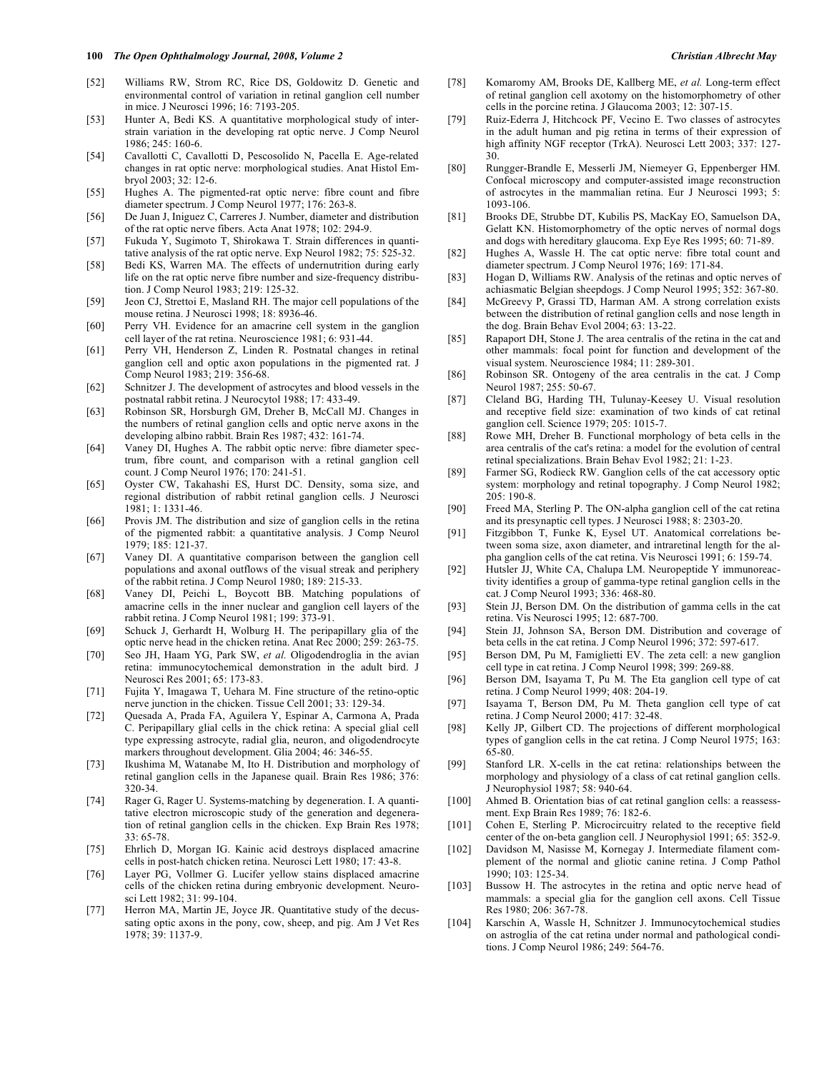- [52] Williams RW, Strom RC, Rice DS, Goldowitz D. Genetic and environmental control of variation in retinal ganglion cell number in mice. J Neurosci 1996; 16: 7193-205.
- [53] Hunter A, Bedi KS. A quantitative morphological study of interstrain variation in the developing rat optic nerve. J Comp Neurol 1986; 245: 160-6.
- [54] Cavallotti C, Cavallotti D, Pescosolido N, Pacella E. Age-related changes in rat optic nerve: morphological studies. Anat Histol Embryol 2003; 32: 12-6.
- [55] Hughes A. The pigmented-rat optic nerve: fibre count and fibre diameter spectrum. J Comp Neurol 1977; 176: 263-8.
- [56] De Juan J, Iniguez C, Carreres J. Number, diameter and distribution of the rat optic nerve fibers. Acta Anat 1978; 102: 294-9.
- [57] Fukuda Y, Sugimoto T, Shirokawa T. Strain differences in quantitative analysis of the rat optic nerve. Exp Neurol 1982; 75: 525-32.
- [58] Bedi KS, Warren MA. The effects of undernutrition during early life on the rat optic nerve fibre number and size-frequency distribution. J Comp Neurol 1983; 219: 125-32.
- [59] Jeon CJ, Strettoi E, Masland RH. The major cell populations of the mouse retina. J Neurosci 1998; 18: 8936-46.
- [60] Perry VH. Evidence for an amacrine cell system in the ganglion cell layer of the rat retina. Neuroscience 1981; 6: 931-44.
- [61] Perry VH, Henderson Z, Linden R. Postnatal changes in retinal ganglion cell and optic axon populations in the pigmented rat. J Comp Neurol 1983; 219: 356-68.
- [62] Schnitzer J. The development of astrocytes and blood vessels in the postnatal rabbit retina. J Neurocytol 1988; 17: 433-49.
- [63] Robinson SR, Horsburgh GM, Dreher B, McCall MJ. Changes in the numbers of retinal ganglion cells and optic nerve axons in the developing albino rabbit. Brain Res 1987; 432: 161-74.
- [64] Vaney DI, Hughes A. The rabbit optic nerve: fibre diameter spectrum, fibre count, and comparison with a retinal ganglion cell count. J Comp Neurol 1976; 170: 241-51.
- [65] Oyster CW, Takahashi ES, Hurst DC. Density, soma size, and regional distribution of rabbit retinal ganglion cells. J Neurosci 1981; 1: 1331-46.
- [66] Provis JM. The distribution and size of ganglion cells in the retina of the pigmented rabbit: a quantitative analysis. J Comp Neurol 1979; 185: 121-37.
- [67] Vaney DI. A quantitative comparison between the ganglion cell populations and axonal outflows of the visual streak and periphery of the rabbit retina. J Comp Neurol 1980; 189: 215-33.
- [68] Vaney DI, Peichi L, Boycott BB. Matching populations of amacrine cells in the inner nuclear and ganglion cell layers of the rabbit retina. J Comp Neurol 1981; 199: 373-91.
- [69] Schuck J, Gerhardt H, Wolburg H. The peripapillary glia of the optic nerve head in the chicken retina. Anat Rec 2000; 259: 263-75.
- [70] Seo JH, Haam YG, Park SW, *et al.* Oligodendroglia in the avian retina: immunocytochemical demonstration in the adult bird. J Neurosci Res 2001; 65: 173-83.
- [71] Fujita Y, Imagawa T, Uehara M. Fine structure of the retino-optic nerve junction in the chicken. Tissue Cell 2001; 33: 129-34.
- [72] Quesada A, Prada FA, Aguilera Y, Espinar A, Carmona A, Prada C. Peripapillary glial cells in the chick retina: A special glial cell type expressing astrocyte, radial glia, neuron, and oligodendrocyte markers throughout development. Glia 2004; 46: 346-55.
- [73] Ikushima M, Watanabe M, Ito H. Distribution and morphology of retinal ganglion cells in the Japanese quail. Brain Res 1986; 376: 320-34.
- [74] Rager G, Rager U. Systems-matching by degeneration. I. A quantitative electron microscopic study of the generation and degeneration of retinal ganglion cells in the chicken. Exp Brain Res 1978; 33: 65-78.
- [75] Ehrlich D, Morgan IG. Kainic acid destroys displaced amacrine cells in post-hatch chicken retina. Neurosci Lett 1980; 17: 43-8.
- [76] Layer PG, Vollmer G. Lucifer yellow stains displaced amacrine cells of the chicken retina during embryonic development. Neurosci Lett 1982; 31: 99-104.
- [77] Herron MA, Martin JE, Joyce JR. Quantitative study of the decussating optic axons in the pony, cow, sheep, and pig. Am J Vet Res 1978; 39: 1137-9.
- [78] Komaromy AM, Brooks DE, Kallberg ME, *et al.* Long-term effect of retinal ganglion cell axotomy on the histomorphometry of other cells in the porcine retina. J Glaucoma 2003; 12: 307-15.
- [79] Ruiz-Ederra J, Hitchcock PF, Vecino E. Two classes of astrocytes in the adult human and pig retina in terms of their expression of high affinity NGF receptor (TrkA). Neurosci Lett 2003; 337: 127- 30.
- [80] Rungger-Brandle E, Messerli JM, Niemeyer G, Eppenberger HM. Confocal microscopy and computer-assisted image reconstruction of astrocytes in the mammalian retina. Eur J Neurosci 1993; 5: 1093-106.
- [81] Brooks DE, Strubbe DT, Kubilis PS, MacKay EO, Samuelson DA, Gelatt KN. Histomorphometry of the optic nerves of normal dogs and dogs with hereditary glaucoma. Exp Eye Res 1995; 60: 71-89.
- [82] Hughes A, Wassle H. The cat optic nerve: fibre total count and diameter spectrum. J Comp Neurol 1976; 169: 171-84.
- [83] Hogan D, Williams RW. Analysis of the retinas and optic nerves of achiasmatic Belgian sheepdogs. J Comp Neurol 1995; 352: 367-80.
- [84] McGreevy P, Grassi TD, Harman AM. A strong correlation exists between the distribution of retinal ganglion cells and nose length in the dog. Brain Behav Evol 2004; 63: 13-22.
- [85] Rapaport DH, Stone J. The area centralis of the retina in the cat and other mammals: focal point for function and development of the visual system. Neuroscience 1984; 11: 289-301.
- [86] Robinson SR. Ontogeny of the area centralis in the cat. J Comp Neurol 1987; 255: 50-67.
- [87] Cleland BG, Harding TH, Tulunay-Keesey U. Visual resolution and receptive field size: examination of two kinds of cat retinal ganglion cell. Science 1979; 205: 1015-7.
- [88] Rowe MH, Dreher B. Functional morphology of beta cells in the area centralis of the cat's retina: a model for the evolution of central retinal specializations. Brain Behav Evol 1982; 21: 1-23.
- [89] Farmer SG, Rodieck RW. Ganglion cells of the cat accessory optic system: morphology and retinal topography. J Comp Neurol 1982;  $205 \cdot 190 - 8$
- [90] Freed MA, Sterling P. The ON-alpha ganglion cell of the cat retina and its presynaptic cell types. J Neurosci 1988; 8: 2303-20.
- [91] Fitzgibbon T, Funke K, Eysel UT. Anatomical correlations between soma size, axon diameter, and intraretinal length for the alpha ganglion cells of the cat retina. Vis Neurosci 1991; 6: 159-74.
- [92] Hutsler JJ, White CA, Chalupa LM. Neuropeptide Y immunoreactivity identifies a group of gamma-type retinal ganglion cells in the cat. J Comp Neurol 1993; 336: 468-80.
- [93] Stein JJ, Berson DM. On the distribution of gamma cells in the cat retina. Vis Neurosci 1995; 12: 687-700.
- [94] Stein JJ, Johnson SA, Berson DM. Distribution and coverage of beta cells in the cat retina. J Comp Neurol 1996; 372: 597-617.
- [95] Berson DM, Pu M, Famiglietti EV. The zeta cell: a new ganglion cell type in cat retina. J Comp Neurol 1998; 399: 269-88.
- [96] Berson DM, Isayama T, Pu M. The Eta ganglion cell type of cat retina. J Comp Neurol 1999; 408: 204-19.
- [97] Isayama T, Berson DM, Pu M. Theta ganglion cell type of cat retina. J Comp Neurol 2000; 417: 32-48.
- [98] Kelly JP, Gilbert CD. The projections of different morphological types of ganglion cells in the cat retina. J Comp Neurol 1975; 163: 65-80.
- [99] Stanford LR. X-cells in the cat retina: relationships between the morphology and physiology of a class of cat retinal ganglion cells. J Neurophysiol 1987; 58: 940-64.
- [100] Ahmed B. Orientation bias of cat retinal ganglion cells: a reassessment. Exp Brain Res 1989; 76: 182-6.
- [101] Cohen E, Sterling P. Microcircuitry related to the receptive field center of the on-beta ganglion cell. J Neurophysiol 1991; 65: 352-9.
- [102] Davidson M, Nasisse M, Kornegay J. Intermediate filament complement of the normal and gliotic canine retina. J Comp Pathol 1990; 103: 125-34.
- [103] Bussow H. The astrocytes in the retina and optic nerve head of mammals: a special glia for the ganglion cell axons. Cell Tissue Res 1980; 206: 367-78.
- [104] Karschin A, Wassle H, Schnitzer J. Immunocytochemical studies on astroglia of the cat retina under normal and pathological conditions. J Comp Neurol 1986; 249: 564-76.